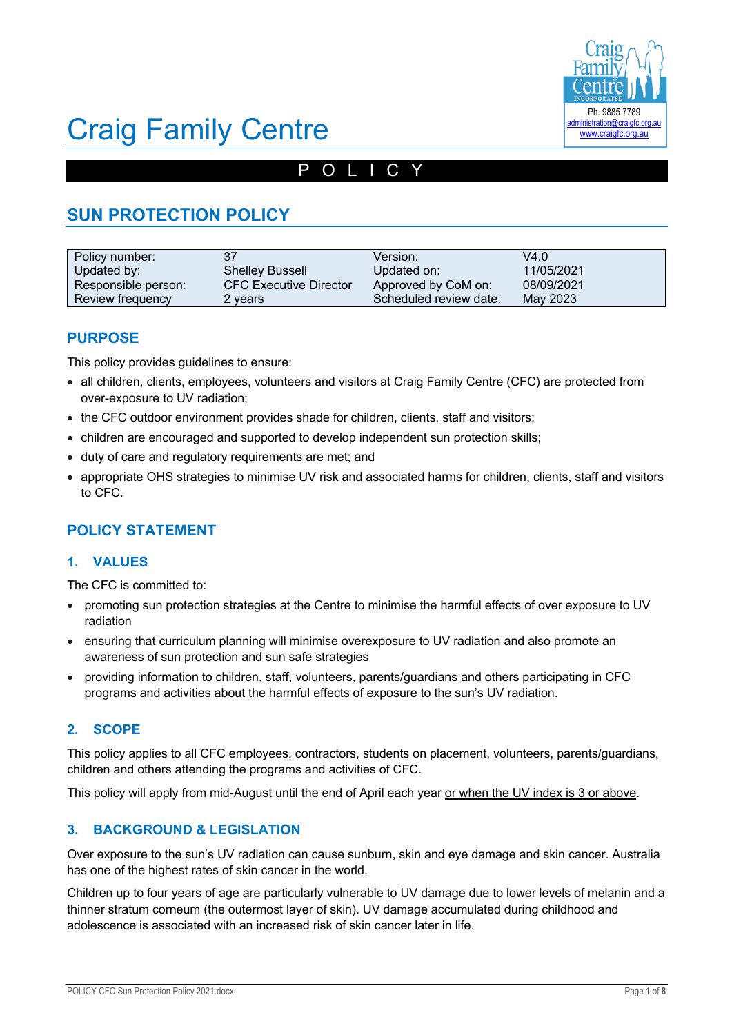

# Craig Family Centre

### POLICY

### **SUN PROTECTION POLICY**

| Policy number:      | 37                            | Version:               | V4.0       |
|---------------------|-------------------------------|------------------------|------------|
| Updated by:         | <b>Shelley Bussell</b>        | Updated on:            | 11/05/2021 |
| Responsible person: | <b>CFC Executive Director</b> | Approved by CoM on:    | 08/09/2021 |
| Review frequency    | 2 years                       | Scheduled review date: | May 2023   |

### **PURPOSE**

This policy provides guidelines to ensure:

- all children, clients, employees, volunteers and visitors at Craig Family Centre (CFC) are protected from over-exposure to UV radiation;
- the CFC outdoor environment provides shade for children, clients, staff and visitors;
- children are encouraged and supported to develop independent sun protection skills;
- duty of care and regulatory requirements are met; and
- appropriate OHS strategies to minimise UV risk and associated harms for children, clients, staff and visitors to CFC.

### **POLICY STATEMENT**

### **1. VALUES**

The CFC is committed to:

- promoting sun protection strategies at the Centre to minimise the harmful effects of over exposure to UV radiation
- ensuring that curriculum planning will minimise overexposure to UV radiation and also promote an awareness of sun protection and sun safe strategies
- providing information to children, staff, volunteers, parents/guardians and others participating in CFC programs and activities about the harmful effects of exposure to the sun's UV radiation.

### **2. SCOPE**

This policy applies to all CFC employees, contractors, students on placement, volunteers, parents/guardians, children and others attending the programs and activities of CFC.

This policy will apply from mid-August until the end of April each year or when the UV index is 3 or above.

### **3. BACKGROUND & LEGISLATION**

Over exposure to the sun's UV radiation can cause sunburn, skin and eye damage and skin cancer. Australia has one of the highest rates of skin cancer in the world.

Children up to four years of age are particularly vulnerable to UV damage due to lower levels of melanin and a thinner stratum corneum (the outermost layer of skin). UV damage accumulated during childhood and adolescence is associated with an increased risk of skin cancer later in life.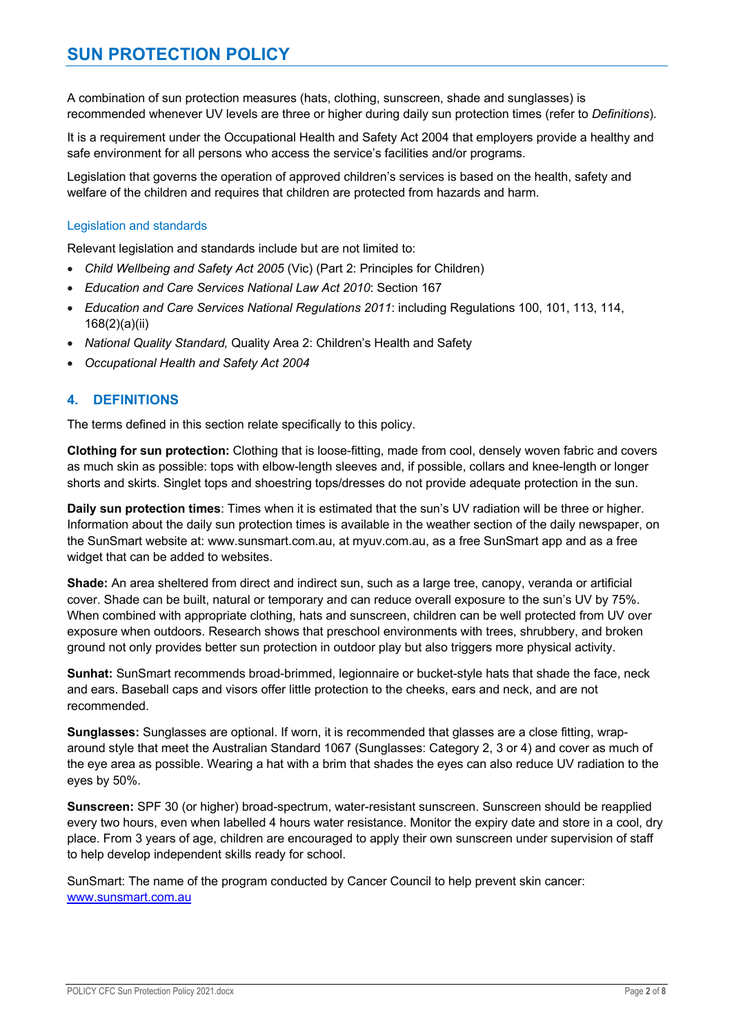A combination of sun protection measures (hats, clothing, sunscreen, shade and sunglasses) is recommended whenever UV levels are three or higher during daily sun protection times (refer to *Definitions*).

It is a requirement under the Occupational Health and Safety Act 2004 that employers provide a healthy and safe environment for all persons who access the service's facilities and/or programs.

Legislation that governs the operation of approved children's services is based on the health, safety and welfare of the children and requires that children are protected from hazards and harm.

### Legislation and standards

Relevant legislation and standards include but are not limited to:

- *Child Wellbeing and Safety Act 2005* (Vic) (Part 2: Principles for Children)
- *Education and Care Services National Law Act 2010*: Section 167
- *Education and Care Services National Regulations 2011*: including Regulations 100, 101, 113, 114, 168(2)(a)(ii)
- *National Quality Standard,* Quality Area 2: Children's Health and Safety
- *Occupational Health and Safety Act 2004*

### **4. DEFINITIONS**

The terms defined in this section relate specifically to this policy.

**Clothing for sun protection:** Clothing that is loose-fitting, made from cool, densely woven fabric and covers as much skin as possible: tops with elbow-length sleeves and, if possible, collars and knee-length or longer shorts and skirts. Singlet tops and shoestring tops/dresses do not provide adequate protection in the sun.

**Daily sun protection times**: Times when it is estimated that the sun's UV radiation will be three or higher. Information about the daily sun protection times is available in the weather section of the daily newspaper, on the SunSmart website at: www.sunsmart.com.au, at myuv.com.au, as a free SunSmart app and as a free widget that can be added to websites.

**Shade:** An area sheltered from direct and indirect sun, such as a large tree, canopy, veranda or artificial cover. Shade can be built, natural or temporary and can reduce overall exposure to the sun's UV by 75%. When combined with appropriate clothing, hats and sunscreen, children can be well protected from UV over exposure when outdoors. Research shows that preschool environments with trees, shrubbery, and broken ground not only provides better sun protection in outdoor play but also triggers more physical activity.

**Sunhat:** SunSmart recommends broad-brimmed, legionnaire or bucket-style hats that shade the face, neck and ears. Baseball caps and visors offer little protection to the cheeks, ears and neck, and are not recommended.

**Sunglasses:** Sunglasses are optional. If worn, it is recommended that glasses are a close fitting, wraparound style that meet the Australian Standard 1067 (Sunglasses: Category 2, 3 or 4) and cover as much of the eye area as possible. Wearing a hat with a brim that shades the eyes can also reduce UV radiation to the eyes by 50%.

**Sunscreen:** SPF 30 (or higher) broad-spectrum, water-resistant sunscreen. Sunscreen should be reapplied every two hours, even when labelled 4 hours water resistance. Monitor the expiry date and store in a cool, dry place. From 3 years of age, children are encouraged to apply their own sunscreen under supervision of staff to help develop independent skills ready for school.

SunSmart: The name of the program conducted by Cancer Council to help prevent skin cancer: www.sunsmart.com.au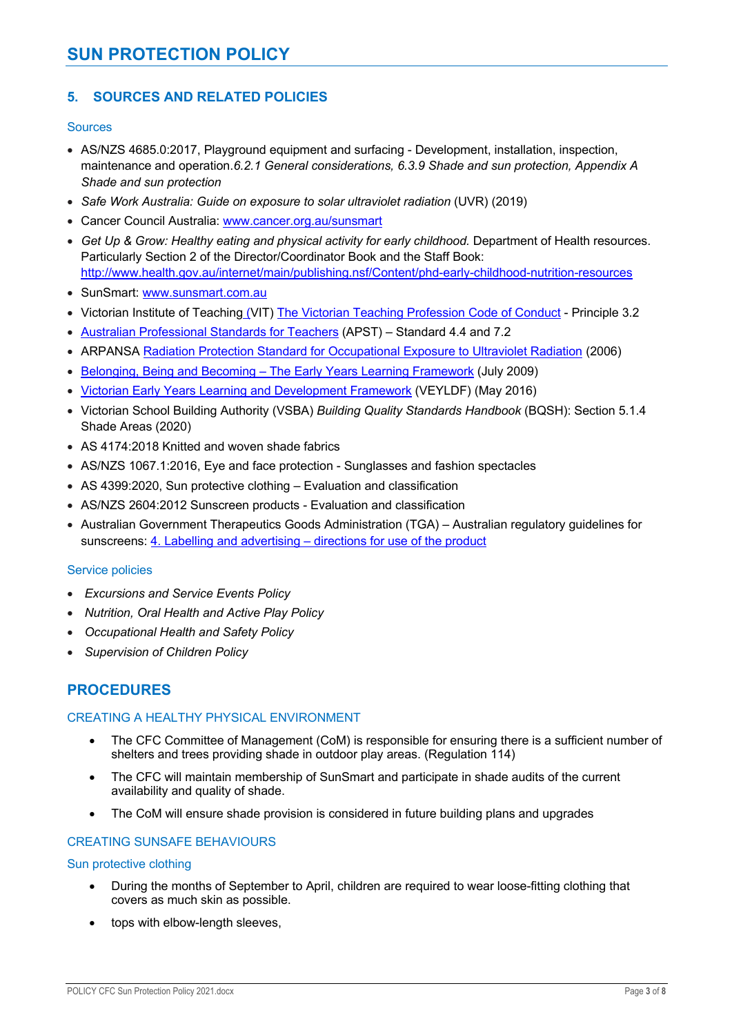### **SUN PROTECTION POLICY**

### **5. SOURCES AND RELATED POLICIES**

### **Sources**

- AS/NZS 4685.0:2017, Playground equipment and surfacing Development, installation, inspection, maintenance and operation.*6.2.1 General considerations, 6.3.9 Shade and sun protection, Appendix A Shade and sun protection*
- *Safe Work Australia: Guide on exposure to solar ultraviolet radiation* (UVR) (2019)
- Cancer Council Australia: www.cancer.org.au/sunsmart
- Get Up & Grow: Healthy eating and physical activity for early childhood. Department of Health resources. Particularly Section 2 of the Director/Coordinator Book and the Staff Book: http://www.health.gov.au/internet/main/publishing.nsf/Content/phd-early-childhood-nutrition-resources
- SunSmart: www.sunsmart.com.au
- Victorian Institute of Teaching (VIT) The Victorian Teaching Profession Code of Conduct Principle 3.2
- Australian Professional Standards for Teachers (APST) Standard 4.4 and 7.2
- ARPANSA Radiation Protection Standard for Occupational Exposure to Ultraviolet Radiation (2006)
- Belonging, Being and Becoming The Early Years Learning Framework (July 2009)
- Victorian Early Years Learning and Development Framework (VEYLDF) (May 2016)
- Victorian School Building Authority (VSBA) *Building Quality Standards Handbook* (BQSH): Section 5.1.4 Shade Areas (2020)
- AS 4174:2018 Knitted and woven shade fabrics
- AS/NZS 1067.1:2016, Eye and face protection Sunglasses and fashion spectacles
- AS 4399:2020, Sun protective clothing Evaluation and classification
- AS/NZS 2604:2012 Sunscreen products Evaluation and classification
- Australian Government Therapeutics Goods Administration (TGA) Australian regulatory guidelines for sunscreens: 4. Labelling and advertising – directions for use of the product

### Service policies

- *Excursions and Service Events Policy*
- *Nutrition, Oral Health and Active Play Policy*
- *Occupational Health and Safety Policy*
- *Supervision of Children Policy*

### **PROCEDURES**

### CREATING A HEALTHY PHYSICAL ENVIRONMENT

- The CFC Committee of Management (CoM) is responsible for ensuring there is a sufficient number of shelters and trees providing shade in outdoor play areas. (Regulation 114)
- The CFC will maintain membership of SunSmart and participate in shade audits of the current availability and quality of shade.
- The CoM will ensure shade provision is considered in future building plans and upgrades

### CREATING SUNSAFE BEHAVIOURS

### Sun protective clothing

- During the months of September to April, children are required to wear loose-fitting clothing that covers as much skin as possible.
- tops with elbow-length sleeves,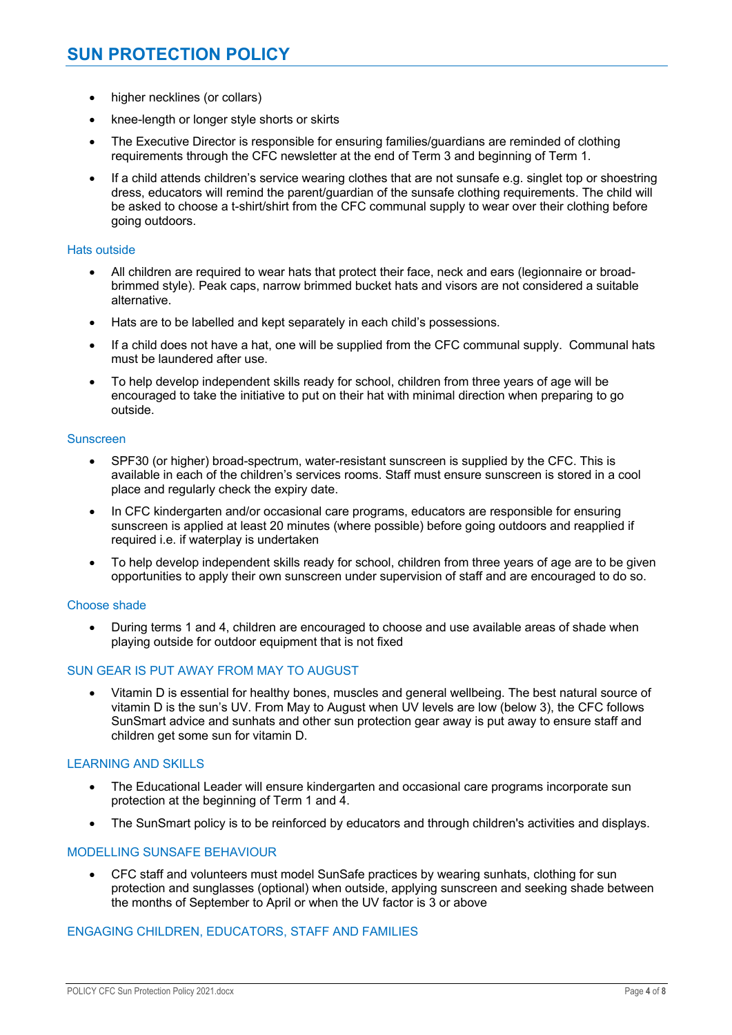- higher necklines (or collars)
- knee-length or longer style shorts or skirts
- The Executive Director is responsible for ensuring families/guardians are reminded of clothing requirements through the CFC newsletter at the end of Term 3 and beginning of Term 1.
- If a child attends children's service wearing clothes that are not sunsafe e.g. singlet top or shoestring dress, educators will remind the parent/guardian of the sunsafe clothing requirements. The child will be asked to choose a t-shirt/shirt from the CFC communal supply to wear over their clothing before going outdoors.

### Hats outside

- All children are required to wear hats that protect their face, neck and ears (legionnaire or broadbrimmed style). Peak caps, narrow brimmed bucket hats and visors are not considered a suitable alternative.
- Hats are to be labelled and kept separately in each child's possessions.
- If a child does not have a hat, one will be supplied from the CFC communal supply. Communal hats must be laundered after use.
- To help develop independent skills ready for school, children from three years of age will be encouraged to take the initiative to put on their hat with minimal direction when preparing to go outside.

#### Sunscreen

- SPF30 (or higher) broad-spectrum, water-resistant sunscreen is supplied by the CFC. This is available in each of the children's services rooms. Staff must ensure sunscreen is stored in a cool place and regularly check the expiry date.
- In CFC kindergarten and/or occasional care programs, educators are responsible for ensuring sunscreen is applied at least 20 minutes (where possible) before going outdoors and reapplied if required i.e. if waterplay is undertaken
- To help develop independent skills ready for school, children from three years of age are to be given opportunities to apply their own sunscreen under supervision of staff and are encouraged to do so.

### Choose shade

• During terms 1 and 4, children are encouraged to choose and use available areas of shade when playing outside for outdoor equipment that is not fixed

### SUN GEAR IS PUT AWAY FROM MAY TO AUGUST

• Vitamin D is essential for healthy bones, muscles and general wellbeing. The best natural source of vitamin D is the sun's UV. From May to August when UV levels are low (below 3), the CFC follows SunSmart advice and sunhats and other sun protection gear away is put away to ensure staff and children get some sun for vitamin D.

### LEARNING AND SKILLS

- The Educational Leader will ensure kindergarten and occasional care programs incorporate sun protection at the beginning of Term 1 and 4.
- The SunSmart policy is to be reinforced by educators and through children's activities and displays.

#### MODELLING SUNSAFE BEHAVIOUR

• CFC staff and volunteers must model SunSafe practices by wearing sunhats, clothing for sun protection and sunglasses (optional) when outside, applying sunscreen and seeking shade between the months of September to April or when the UV factor is 3 or above

#### ENGAGING CHILDREN, EDUCATORS, STAFF AND FAMILIES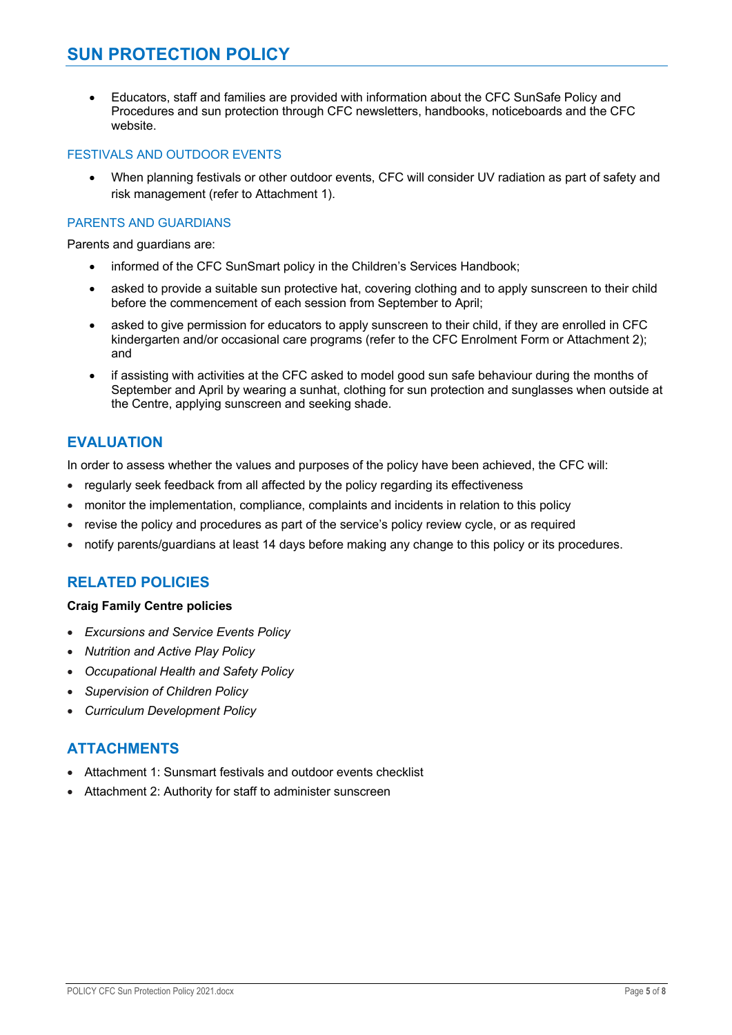### **SUN PROTECTION POLICY**

• Educators, staff and families are provided with information about the CFC SunSafe Policy and Procedures and sun protection through CFC newsletters, handbooks, noticeboards and the CFC website.

### FESTIVALS AND OUTDOOR EVENTS

• When planning festivals or other outdoor events, CFC will consider UV radiation as part of safety and risk management (refer to Attachment 1).

### PARENTS AND GUARDIANS

Parents and guardians are:

- informed of the CFC SunSmart policy in the Children's Services Handbook;
- asked to provide a suitable sun protective hat, covering clothing and to apply sunscreen to their child before the commencement of each session from September to April;
- asked to give permission for educators to apply sunscreen to their child, if they are enrolled in CFC kindergarten and/or occasional care programs (refer to the CFC Enrolment Form or Attachment 2); and
- if assisting with activities at the CFC asked to model good sun safe behaviour during the months of September and April by wearing a sunhat, clothing for sun protection and sunglasses when outside at the Centre, applying sunscreen and seeking shade.

### **EVALUATION**

In order to assess whether the values and purposes of the policy have been achieved, the CFC will:

- regularly seek feedback from all affected by the policy regarding its effectiveness
- monitor the implementation, compliance, complaints and incidents in relation to this policy
- revise the policy and procedures as part of the service's policy review cycle, or as required
- notify parents/guardians at least 14 days before making any change to this policy or its procedures.

### **RELATED POLICIES**

### **Craig Family Centre policies**

- *Excursions and Service Events Policy*
- *Nutrition and Active Play Policy*
- *Occupational Health and Safety Policy*
- *Supervision of Children Policy*
- *Curriculum Development Policy*

### **ATTACHMENTS**

- Attachment 1: Sunsmart festivals and outdoor events checklist
- Attachment 2: Authority for staff to administer sunscreen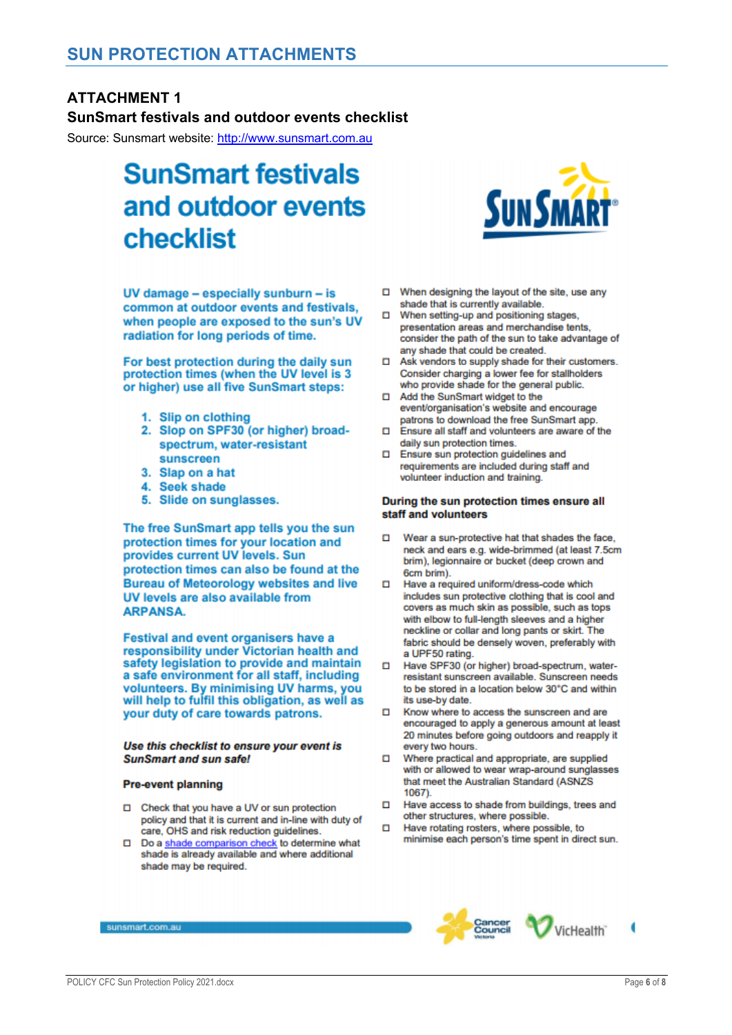### **ATTACHMENT 1**

### **SunSmart festivals and outdoor events checklist**

Source: Sunsmart website: http://www.sunsmart.com.au

## **SunSmart festivals** and outdoor events checklist

UV damage - especially sunburn - is common at outdoor events and festivals. when people are exposed to the sun's UV radiation for long periods of time.

For best protection during the daily sun protection times (when the UV level is 3 or higher) use all five SunSmart steps:

- 1. Slip on clothing
- 2. Slop on SPF30 (or higher) broadspectrum, water-resistant sunscreen
- 3. Slap on a hat
- 4. Seek shade
- 5. Slide on sunglasses.

The free SunSmart app tells you the sun protection times for your location and provides current UV levels. Sun protection times can also be found at the **Bureau of Meteorology websites and live** UV levels are also available from **ARPANSA.** 

Festival and event organisers have a responsibility under Victorian health and safety legislation to provide and maintain a safe environment for all staff, including volunteers. By minimising UV harms, you will help to fulfil this obligation, as well as your duty of care towards patrons.

#### Use this checklist to ensure your event is **SunSmart and sun safe!**

#### **Pre-event planning**

- □ Check that you have a UV or sun protection policy and that it is current and in-line with duty of care, OHS and risk reduction guidelines.
- Do a shade comparison check to determine what shade is already available and where additional shade may be required.



- □ When designing the layout of the site, use any shade that is currently available.
- When setting-up and positioning stages, п presentation areas and merchandise tents, consider the path of the sun to take advantage of any shade that could be created.
- □ Ask vendors to supply shade for their customers. Consider charging a lower fee for stallholders who provide shade for the general public.
- Add the SunSmart widget to the event/organisation's website and encourage patrons to download the free SunSmart app.
- n. Ensure all staff and volunteers are aware of the daily sun protection times.
- Ensure sun protection guidelines and п requirements are included during staff and volunteer induction and training.

#### During the sun protection times ensure all staff and volunteers

- Wear a sun-protective hat that shades the face, neck and ears e.g. wide-brimmed (at least 7.5cm brim), legionnaire or bucket (deep crown and 6cm brim).
- Have a required uniform/dress-code which n. includes sun protective clothing that is cool and covers as much skin as possible, such as tops with elbow to full-length sleeves and a higher neckline or collar and long pants or skirt. The fabric should be densely woven, preferably with a UPF50 rating.
- Have SPF30 (or higher) broad-spectrum, waterresistant sunscreen available. Sunscreen needs to be stored in a location below 30°C and within its use-by date.
- Know where to access the sunscreen and are n. encouraged to apply a generous amount at least 20 minutes before going outdoors and reapply it every two hours.
- Where practical and appropriate, are supplied Ω with or allowed to wear wrap-around sunglasses that meet the Australian Standard (ASNZS  $1067$ ).
- Have access to shade from buildings, trees and n. other structures, where possible.
- Have rotating rosters, where possible, to minimise each person's time spent in direct sun.



sunsmart.com.au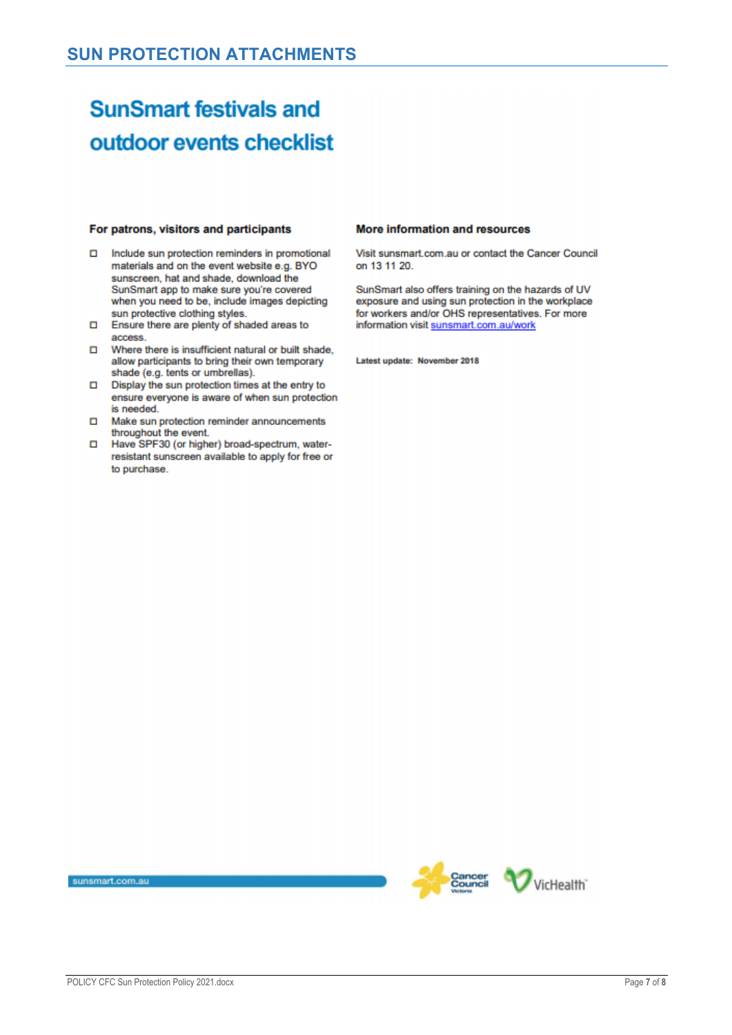## **SunSmart festivals and** outdoor events checklist

#### For patrons, visitors and participants

- Include sun protection reminders in promotional materials and on the event website e.g. BYO sunscreen, hat and shade, download the SunSmart app to make sure you're covered when you need to be, include images depicting sun protective clothing styles.
- Ensure there are plenty of shaded areas to access.
- O Where there is insufficient natural or built shade, allow participants to bring their own temporary shade (e.g. tents or umbrellas).
- Display the sun protection times at the entry to ensure everyone is aware of when sun protection is needed.
- □ Make sun protection reminder announcements throughout the event.
- Have SPF30 (or higher) broad-spectrum, waterresistant sunscreen available to apply for free or to purchase.

#### More information and resources

Visit sunsmart com au or contact the Cancer Council on 13 11 20.

SunSmart also offers training on the hazards of UV exposure and using sun protection in the workplace for workers and/or OHS representatives. For more information visit sunsmart.com.au/work

Latest update: November 2018

sunsmart.com.au